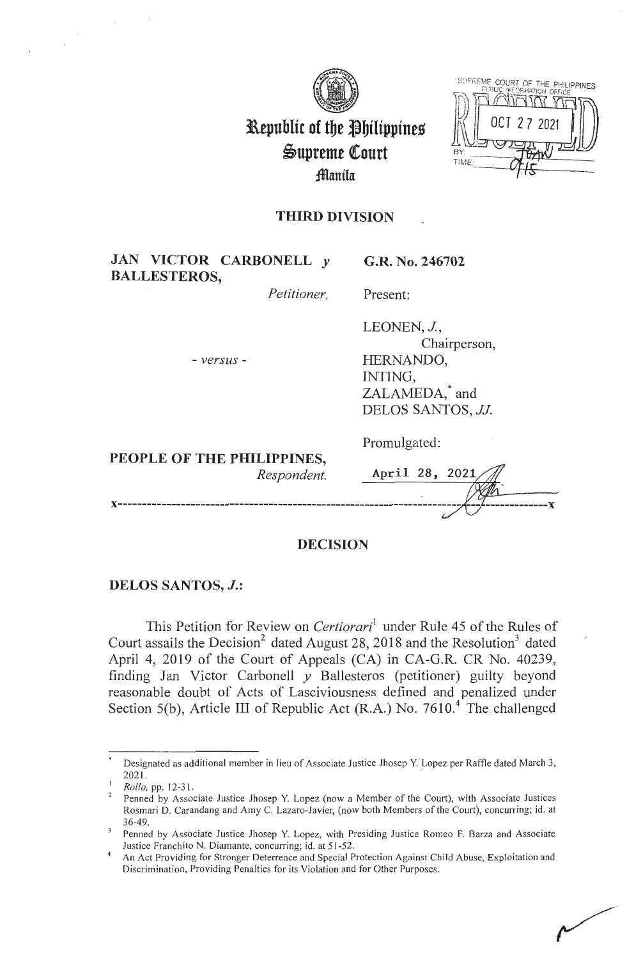

| BY:<br>TIME: | SUPREME COURT OF THE PHILIPPINES<br>PUBLIC INFORMATION OFFICE<br>OCT 27 2021 |
|--------------|------------------------------------------------------------------------------|
|              |                                                                              |

# **Republic of the Philippines**  $\mathfrak{S}$ upreme Court **;fflanila**

# **THIRD DIVISION**

| JAN VICTOR CARBONELL y<br><b>BALLESTEROS,</b> | G.R. No. 246702                                                                                        |
|-----------------------------------------------|--------------------------------------------------------------------------------------------------------|
| Petitioner,                                   | Present:                                                                                               |
| - versus -                                    | LEONEN, J.,<br>Chairperson,<br>HERNANDO,<br>INTING,<br>ZALAMEDA, <sup>*</sup> and<br>DELOS SANTOS, JJ. |
| PEOPLE OF THE PHILIPPINES,<br>Respondent.     | Promulgated:<br>April 28, 2021                                                                         |
|                                               |                                                                                                        |

# **DECISION**

# **DELOS SANTOS,** *J.:*

This Petition for Review on *Certiorari*<sup>1</sup> under Rule 45 of the Rules of Court assails the Decision<sup>2</sup> dated August 28, 2018 and the Resolution<sup>3</sup> dated April 4, 2019 of the Court of Appeals (CA) in CA-G.R. CR No. 40239, finding Jan Victor Carbonell *y* Ballesteros (petitioner) guilty beyond reasonable doubt of Acts of Lasciviousness defined and penalized under Section 5(b), Article III of Republic Act (R.A.) No.  $7610<sup>4</sup>$  The challenged

Designated as additional member in lieu of Associate Justice Jhosep Y. Lopez per Raffle dated March 3, 2021. .

<sup>1</sup>*Rollo,* pp. 12-31.

Penned by Associate Justice Jhosep Y. Lopez (now a Member of the Court), with Associate Justices Rosmari D. Carandang and Amy C. Lazaro-Javier, (now both Members of the Court), concurring; id. at

Penned by Associate Justice Jhosep Y. Lopez, with Presiding Justice Romeo F. Barza and Associate Justice Franchito N. Diamante, concurring; id. at 51-52.<br>An Act Providing for Stronger Deterrence and Special Protection Against Child Abuse, Exploitation and

Discrimination, Providing Penalties for its Violation and for Other Purposes.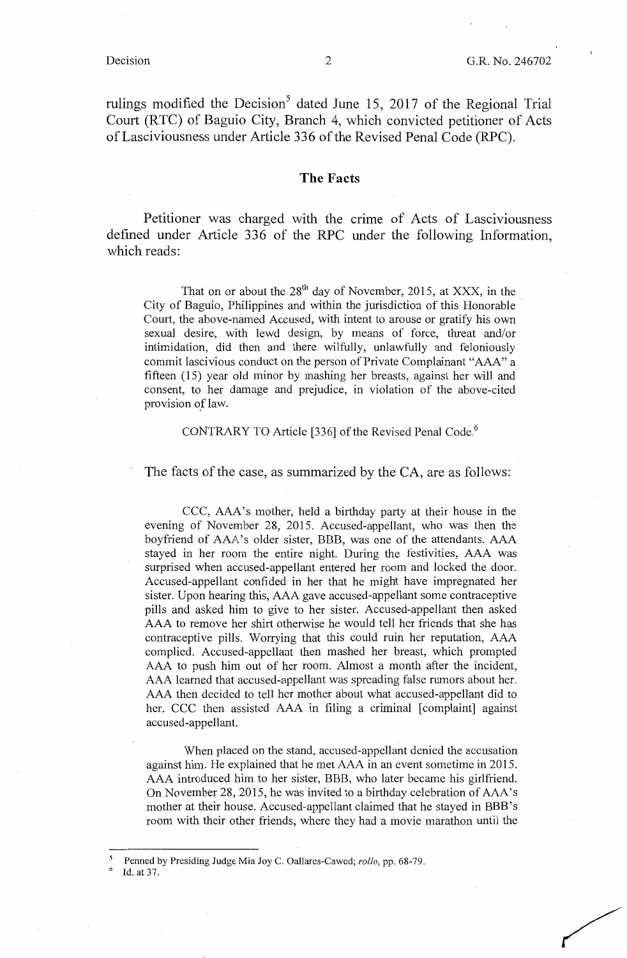rulings modified the Decision<sup>5</sup> dated June 15, 2017 of the Regional Trial Court (RTC) of Baguio City, Branch 4, which convicted petitioner of Acts of Lasciviousness under Article 336 of the Revised Penal Code (RPC).

## **The** Facts

Petitioner was charged with the crime of Acts of Lasciviousness defined under Article 336 of the RPC under the following Information, which reads:

That on or about the  $28^{th}$  day of November, 2015, at XXX, in the City of Baguio, Philippines and within the jurisdiction of this Honorable Court, the above-named Accused, with intent to arouse or gratify his own sexual desire, with lewd design, by means of force, threat and/or intimidation, did then and there wilfully, unlawfully and feloniously commit lascivious conduct on the person of Private Complainant "AAA" a fifteen (15) year old minor by mashing her breasts, against her will and consent, to her damage and prejudice, in violation of the above-cited provision of law.

#### CONTRARY TO Article [336] of the Revised Penal Code. <sup>6</sup>

The facts of the case, as summarized by the CA, are as follows:

CCC, AAA's mother, held a birthday party at their house in the evening of November 28, 2015. Accused-appellant, who was then the boyfriend of AAA's older sister, BBB, was one of the attendants. AAA stayed in her room the entire night. During the festivities, AAA was surprised when accused-appellant entered her room and locked the door. Accused-appellant confided in her that he might have impregnated her sister. Upon hearing this, AAA gave accused-appellant some contraceptive pills and asked him to give to her sister. Accused-appellant then asked AAA to remove her shirt otherwise he would tell her friends that she has contraceptive pills. Worrying that this could ruin her reputation, AAA complied. Accused-appellant then mashed her breast, which prompted AAA to push him out of her room. Almost a month after the incident, AAA learned that accused-appellant was spreading false rumors about her. AAA then decided to tell her mother about what accused-appellant did to her. CCC then assisted AAA in filing a criminal [complaint] against accused-appellant.

When placed on the stand, accused-appellant denied the accusation against him. He explained that he met AAA in an event sometime in 2015. AAA introduced him to her sister, BBB, who later became his girlfriend. On November 28, 2015, he was invited to a birthday celebration of AAA's mother at their house. Accused-appellant claimed that he stayed in BBB's room with their other friends, where they had a movie marathon until the

Penned by Presiding Judge Mia Joy C. Oallares-Cawed; *rollo*, pp. 68-79. Id. at 37.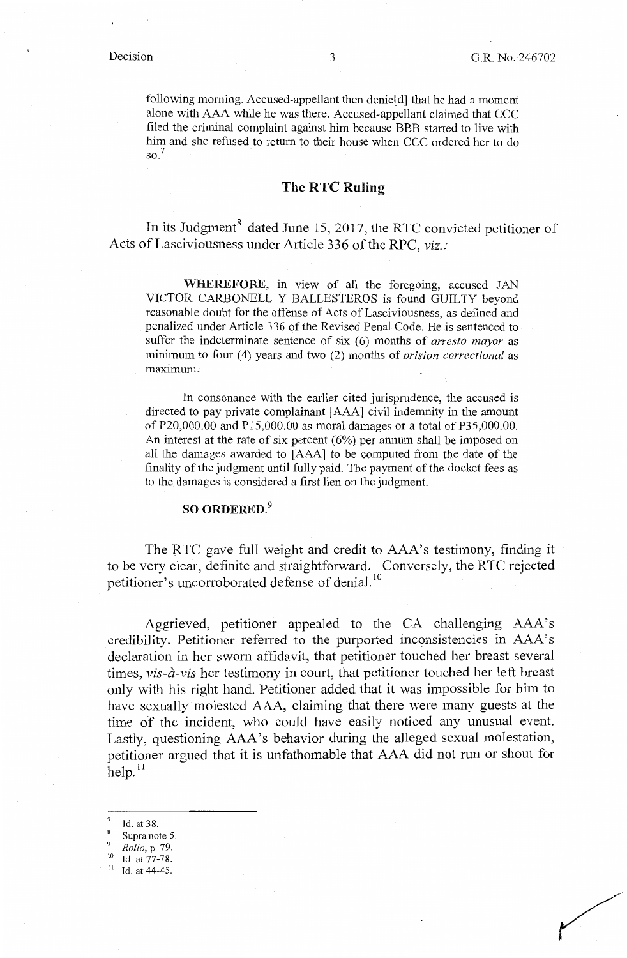following morning. Accused-appellant then denie[ d] that he had a moment alone with AAA while he was there. Accused-appellant claimed that CCC filed the criminal complaint against him because BBB started to live with him and she refused to return to their house when CCC ordered her to do  $\mathrm{so.}^7$ 

### **The RTC Ruling**

In its Judgment<sup>8</sup> dated June 15, 2017, the RTC convicted petitioner of Acts of Lasciviousness under Article 336 of the RPC, *viz.:* 

**WHEREFORE,** in view of all the foregoing, accused JAN VICTOR CARBONELL Y BALLESTEROS is found GUILTY beyond reasonable doubt for the offense of Acts of Lasciviousness, as defined and penalized under Article 336 of the Revised Penal Code. He is sentenced to suffer the indeterminate sentence of six (6) months of *arresto mayor* as minimum to four (4) years and two (2) months of *prision correctional* as maximum.

In consonance with the earlier cited jurisprudence, the accused is directed to pay private complainant [AAA] civil indemnity in the amount of P20,000.00 and P15,000.00 as moral damages or a total of P35,000.00. An interest at the rate of six percent (6%) per annum shall be imposed on all the damages awarded to [AAA] to be computed from the date of the finality of the judgment until fully paid. The payment of the docket fees as to the damages is considered a first lien on the judgment.

# **SO ORDERED.<sup>9</sup>**

The RTC gave full weight and credit to AAA's testimony, finding it to be very clear, definite and straightforward. Conversely, the RTC rejected petitioner's uncorroborated defense of denial.<sup>10</sup>

Aggrieved, petitioner appealed to the CA challenging AAA's credibility. Petitioner referred to the purported inconsistencies in AAA's declaration in her sworn affidavit, that petitioner touched her breast several times, *vis-a-vis* her testimony in court, that petitioner touched her left breast only with his right hand. Petitioner added that it was impossible for him to have sexually molested AAA, claiming that there were many guests at the time of the incident, who could have easily noticed any unusual event. Lastly, questioning AAA's behavior during the alleged sexual molestation, petitioner argued that it is unfathomable that AAA did not run or shout for  $h$ elp. $^{11}$ 

- Id. at 38.
- Supra note 5.
- 
- <sup>9</sup> *Rollo, p. 79.*<br><sup>10</sup> Id. at 77-78.<br><sup>11</sup> Id. at 44-45.
-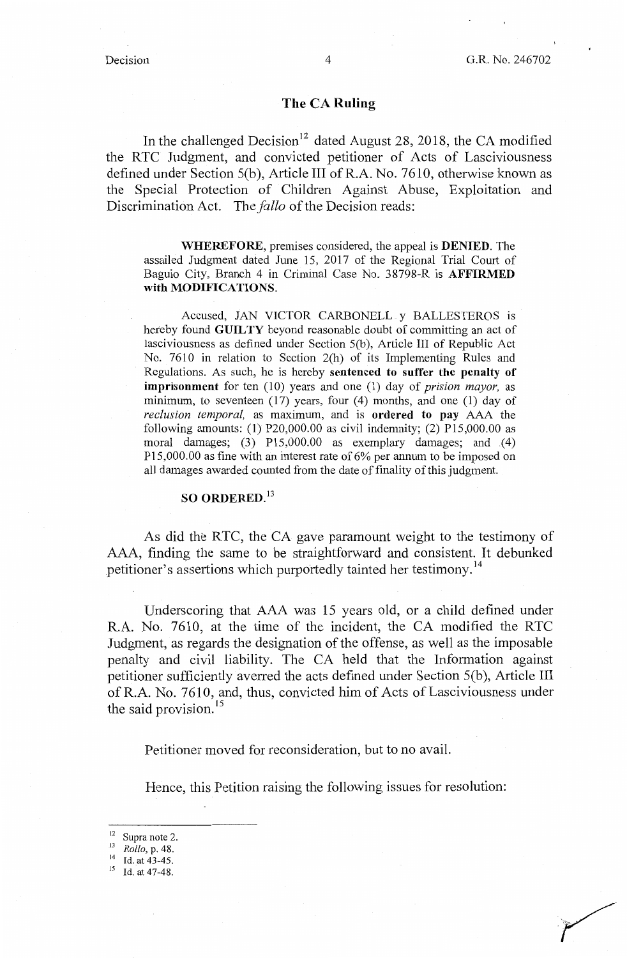## **The CA Ruling**

In the challenged Decision<sup>12</sup> dated August 28, 2018, the CA modified the RTC Judgment, and convicted petitioner of Acts of Lasciviousness defined under Section S(b), Article III ofR.A. No. 7610, otherwise known as the Special Protection of Children Against Abuse, Exploitation and Discrimination Act. The *fallo* of the Decision reads:

**WHEREFORE,** premises considered, the appeal is **DENIED.** The assailed Judgment dated June 15, 2017 of the Regional Trial Court of Baguio City, Branch 4 in Criminal Case No. 38798-R is **AFFIRMED with MODIFICATIONS.** 

Accused, JAN VICTOR CARBONELL y BALLESTEROS is hereby found **GUILTY** beyond reasonable doubt of committing an act of lasciviousness as defined under Section 5(b), Article III of Republic Act No. 7610 in relation to Section 2(h) of its Implementing Rules and Regulations. As such, he is hereby **sentenced to suffer the penalty of imprisonment** for ten (10) years and one (1) day of *prision mayor,* as minimum, to seventeen (17) years, four (4) months, and one (1) day of *reclusion temporal,* as maximum, and is **ordered to pay** AAA the following amounts: (1) P20,000.00 as civil indemnity: (2) P15,000.00 as moral damages; (3) P15,000.00 as exemplary damages; and (4) P15,000.00 as fine with an interest rate of 6% per annum to be imposed on all damages awarded counted from the date of finality of this judgment.

# **SO ORDERED. <sup>13</sup>**

As did the RTC, the CA gave paramount weight to the testimony of AAA, finding the same to be straightforward and consistent. It debunked petitioner's assertions which purportedly tainted her testimony. <sup>14</sup>

Underscoring that AAA was 15 years old, or a child defined under R.A. No. 7610, at the time of the incident, the CA modified the RTC Judgment, as regards the designation of the offense, as well as the imposable penalty and civil liability. The CA held that the Information against petitioner sufficiently averred the acts defined under Section 5(b), Article III ofR.A. No. 7610, and, thus, convicted him of Acts of Lasciviousness under the said provision.<sup>15</sup>

Petitioner moved for reconsideration, but to no avail.

Hence, this Petition raising the following issues for resolution:

<sup>12</sup> Supra note 2. 13 *Rollo,* p. 48. 14 Id. at 43-45.

<sup>15</sup> Id. at 47-48.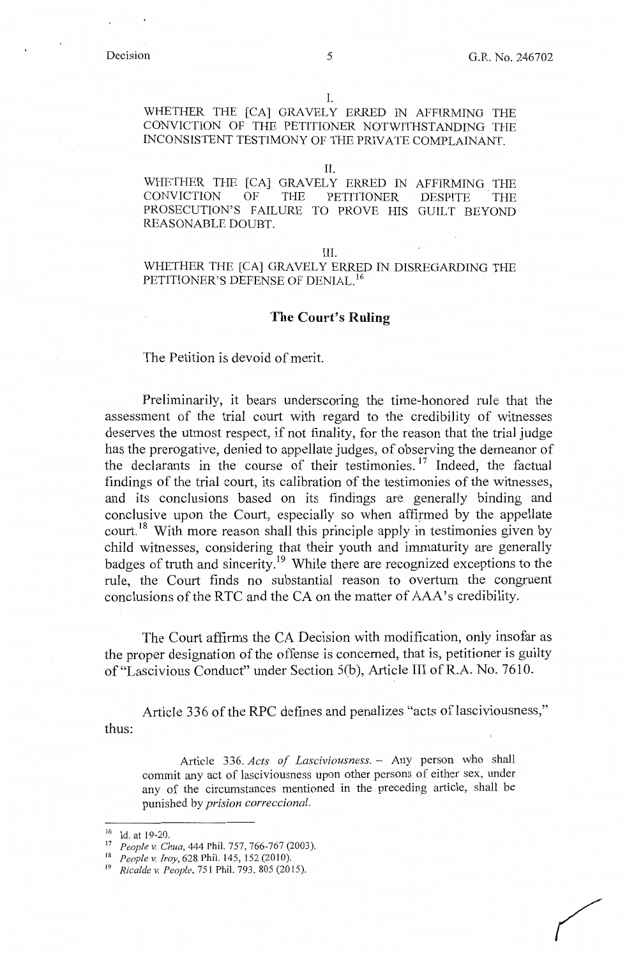# I.

WHETHER THE [CA] GRAVELY ERRED IN AFFIRMING THE CONVICTION OF THE PETITIONER NOTWITHSTANDING THE INCONSISTENT TESTIMONY OF THE PRIVATE COMPLAINANT.

#### II.

WHETHER THE [CA] GRAVELY ERRED IN AFFIRMING THE CONVICTION OF THE PETITIONER PROSECUTION'S FAILURE TO PROVE HIS GUILT BEYOND REASONABLE DOUBT. DESPITE THE

#### III.

WHETHER THE [CA] GRAVELY ERRED IN DISREGARDING THE PETITIONER'S DEFENSE OF DENIAL. <sup>16</sup>

### **The Court's Ruling**

The Petition is devoid of merit.

Preliminarily, it bears underscoring the time-honored rule that the assessment of the trial court with regard to the credibility of witnesses deserves the utmost respect, if not finality, for the reason that the trial judge has the prerogative, denied to appellate judges, of observing the demeanor of the declarants in the course of their testimonies. 17 Indeed, the factual findings of the trial court, its calibration of the testimonies of the witnesses, and its conclusions based on its findings are generally binding and conclusive upon the Court, especially so when affirmed by the appellate court.<sup>18</sup> With more reason shall this principle apply in testimonies given by child witnesses, considering that their youth and immaturity are generally badges of truth and sincerity. 19 While there are recognized exceptions to the rule, the Court finds no substantial reason to overturn the congruent conclusions of the RTC and the CA on the matter of AAA's credibility.

The Court affirms the CA Decision with modification, only insofar as the proper designation of the offense is concerned, that is, petitioner is guilty of"Lascivious Conduct" under Section 5(b), Article III ofR.A. No. 7610.

thus: Article 336 of the RPC defines and penalizes "acts of lasciviousness,"

Article 336. *Acts of Lasciviousness.* - Any person who shall commit any act of lasciviousness upon other persons of either sex, under any of the circumstances mentioned in the preceding article, shall be punished by *prision correccional.* 

<sup>&</sup>lt;sup>16</sup> Id. at 19-20.<br><sup>17</sup> *People v. Chua*, 444 Phil. 757, 766-767 (2003).

<sup>18</sup> *People v. Iroy,* 628 Phil. 145, 152 (2010).

<sup>19</sup> *Rica/de v. People,* 751 Phil. 793, 805 (2015).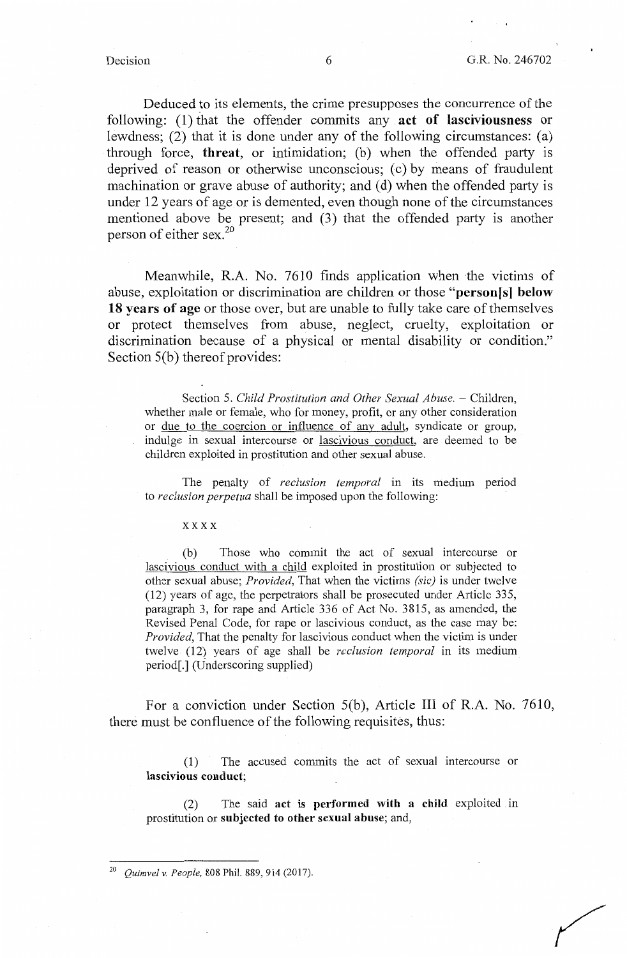Deduced to its elements, the crime presupposes the concurrence of the following: (1) that the offender commits any **act of lasciviousness** or lewdness; (2) that it is done under any of the following circumstances: (a) through force, **threat,** or intimidation; (b) when the offended party is deprived of reason or otherwise unconscious; (c) by means of fraudulent machination or grave abuse of authority; and (d) when the offended party is under 12 years of age or is demented, even though none of the circumstances mentioned above be present; and (3) that the offended party is another person of either sex. $20$ 

Meanwhile, R.A. No. 7610 finds application when the victims of abuse, exploitation or discrimination are children or those **"person[sl below 18 years of age** or those over, but are unable to fully take care of themselves or protect themselves from abuse, neglect, cruelty, exploitation or discrimination because of a physical or mental disability or condition." Section 5(b) thereof provides:

Section 5. *Child Prostitution and Other Sexual Abuse.* – Children, whether male or female, who for money, profit, or any other consideration or due to the coercion or influence of any adult, syndicate or group, indulge in sexual intercourse or lascivious conduct, are deemed to be children exploited in prostitution and other sexual abuse.

The penalty of *reclusion temporal* in its medium period to *reclusion perpetua* shall be imposed upon the following:

xxxx

(b) Those who commit the act of sexual intercourse or lascivious conduct with a child exploited in prostitution or subjected to other sexual abuse; *Provided,* That when the victims *(sic)* is under twelve (12) years of age, the perpetrators shall be prosecuted under Article 335, paragraph 3, for rape and Article 336 of Act No. 3815, as amended, the Revised Penal Code, for rape or lascivious conduct, as the case may be: *Provided,* That the penalty for lascivious conduct when the victim is under twelve (12) years of age shall be *reclusion temporal* in its medium period[.] (Underscoring supplied)

For a conviction under Section 5(b), Article III of R.A. No. 7610, there must be confluence of the following requisites, thus:

(1) The accused commits the act of sexual intercourse or **lascivious conduct;** 

(2) The said act is **performed with a child** exploited m prostitution or **subjected to other sexual abuse;** and,

<sup>20</sup>*Quimvelv. People,* 808 Phil. 889,914 (2017).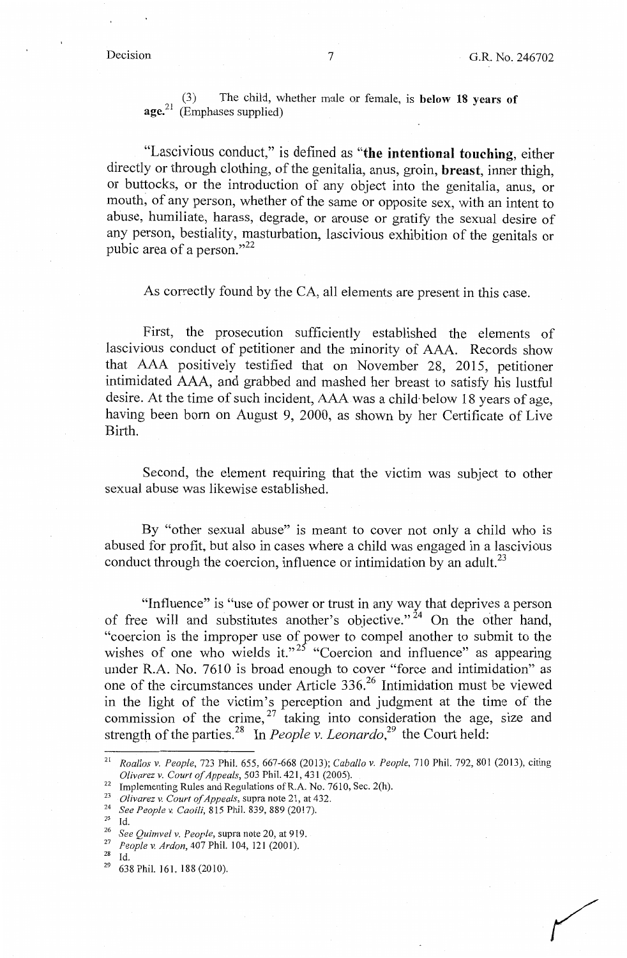(3) The child, whether male or female, is **below 18 years of age. <sup>21</sup>**(Emphases supplied)

"Lascivious conduct," is defined as **"the intentional touching,** either directly or through clothing, of the genitalia, anus, groin, **breast,** inner thigh, or buttocks, or the introduction of any object into the genitalia, anus, or mouth, of any person, whether of the same or opposite sex, with an intent to abuse, humiliate, harass, degrade, or arouse or gratify the sexual desire of any person, bestiality, masturbation, lascivious exhibition of the genitals or pubic area of a person." $^{22}$ 

As correctly found by the CA, all elements are present in this case.

First, the prosecution sufficiently established the elements of lascivious conduct of petitioner and the minority of AAA. Records show that AAA positively testified that on November 28, 2015, petitioner intimidated AAA, and grabbed and mashed her breast to satisfy his lustful desire. At the time of such incident, AAA was a child· below 18 years of age, having been born on August 9, 2000, as shown by her Certificate of Live Birth.

Second, the element requiring that the victim was subject to other sexual abuse was likewise established.

By "other sexual abuse" is meant to cover not only a child who is abused for profit, but also in cases where a child was engaged in a lascivious conduct through the coercion, influence or intimidation by an adult.<sup>23</sup>

"Influence" is "use of power or trust in any way that deprives a person of free will and substitutes another's objective." 24 On the other hand, "coercion is the improper use of power to compel another to submit to the wishes of one who wields it."<sup>25</sup> "Coercion and influence" as appearing under R.A. No. 7610 is broad enough to cover "force and intimidation" as one of the circumstances under Article 336.<sup>26</sup> Intimidation must be viewed in the light of the victim's perception and judgment at the time of the commission of the crime,  $27$  taking into consideration the age, size and strength of the parties.<sup>28</sup> In *People v. Leonardo*,<sup>29</sup> the Court held:

<sup>21</sup>*Roallos v. People,* 723 Phil. 655, 667-668 (2013); *Caballo v. People,* 710 Phil. 792, 801 (2013), citing

<sup>&</sup>lt;sup>22</sup> Implementing Rules and Regulations of R.A. No. 7610, Sec. 2(h).<br><sup>23</sup> *Olivarez v. Court of Appeals*, supra note 21, at 432.<br><sup>24</sup> *See People v. Caoili*, 815 Phil. 839, 889 (2017).

<sup>&</sup>lt;sup>26</sup> See Quimvel v. People, supra note 20, at 919.<br><sup>27</sup> *People v. Ardon*, 407 Phil. 104, 121 (2001).

 $\frac{28}{29}$  Id.<br> $\frac{29}{638}$  Phil. 161, 188 (2010).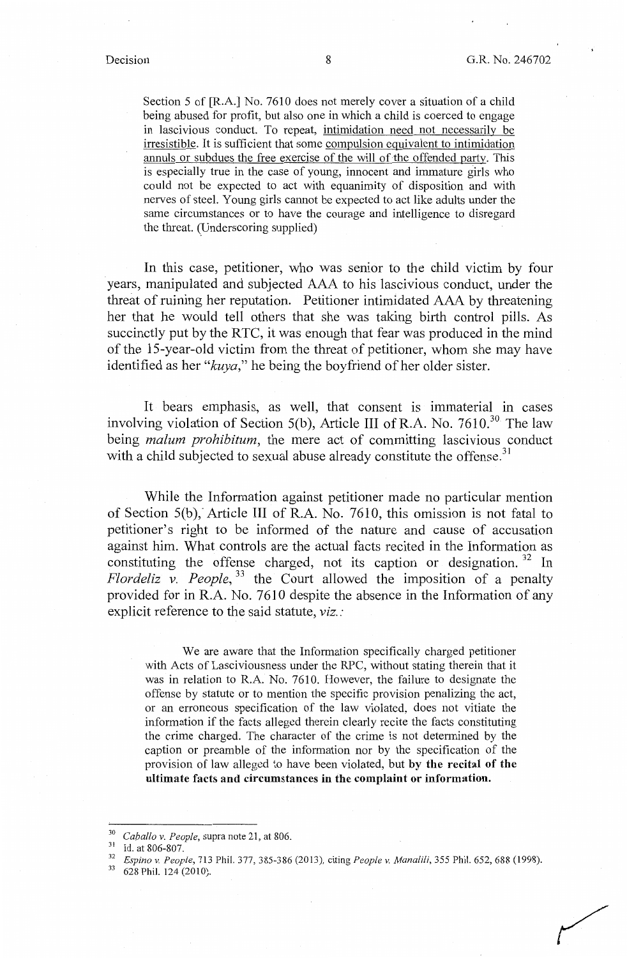Section 5 of [R.A.] No. 7610 does not merely cover a situation of a child being abused for profit, but also one in which a child is coerced to engage in lascivious conduct. To repeat, intimidation need not necessarily be irresistible. It is sufficient that some compulsion equivalent to intimidation annuls or subdues the free exercise of the will of the offended party. This is especially true in the case of young, innocent and immature girls who could not be expected to act with equanimity of disposition and with nerves of steel. Young girls cannot be expected to act like adults under the same circumstances or to have the courage and intelligence to disregard the threat. (Underscoring supplied)

In this case, petitioner, who was senior to the child victim by four years, manipulated and subjected AAA to his lascivious conduct, under the threat of ruining her reputation. Petitioner intimidated AAA by threatening her that he would tell others that she was taking birth control pills. As succinctly put by the RTC, it was enough that fear was produced in the mind of the 15-year-old victim from the threat of petitioner, whom she may have identified as her *"kuya,"* he being the boyfriend of her older sister.

It bears emphasis, as well, that consent is immaterial in cases involving violation of Section 5(b), Article III of R.A. No.  $7610^{30}$ . The law being *malum prohibitum,* the mere act of committing lascivious conduct with a child subjected to sexual abuse already constitute the offense.<sup>31</sup>

While the Information against petitioner made no particular mention of Section  $5(b)$ . Article III of R.A. No. 7610, this omission is not fatal to petitioner's right to be informed of the nature and cause of accusation against him. What controls are the actual facts recited in the Information as constituting the offense charged, not its caption or designation. 32 In *Flordeliz v. People*,<sup>33</sup> the Court allowed the imposition of a penalty provided for in R.A. No. 7610 despite the absence in the Information of any explicit reference to the said statute, *viz.:* 

We are aware that the Information specifically charged petitioner with Acts of Lasciviousness under the RPC, without stating therein that it was in relation to R.A. No. 7610. However, the failure to designate the offense by statute or to mention the specific provision penalizing the act, or an erroneous specification of the law violated, does not vitiate the information if the facts alleged therein clearly recite the facts constituting the crime charged. The character of the crime is not determined by the caption or preamble of the information nor by the specification of the provision of law alleged to have been violated, but **by the recital of the ultimate facts and circumstances in the complaint or information.** 

<sup>30</sup> 

<sup>&</sup>lt;sup>30</sup> *Caballo v. People,* supra note 21, at 806.<br><sup>31</sup> Id. at 806-807.<br><sup>32</sup> *Espino v. People,* 713 Phil. 377, 385-386 (2013), citing *People v. Manalili*, 355 Phil. 652, 688 (1998).<br><sup>33</sup> 628 Phil. 124 (2010).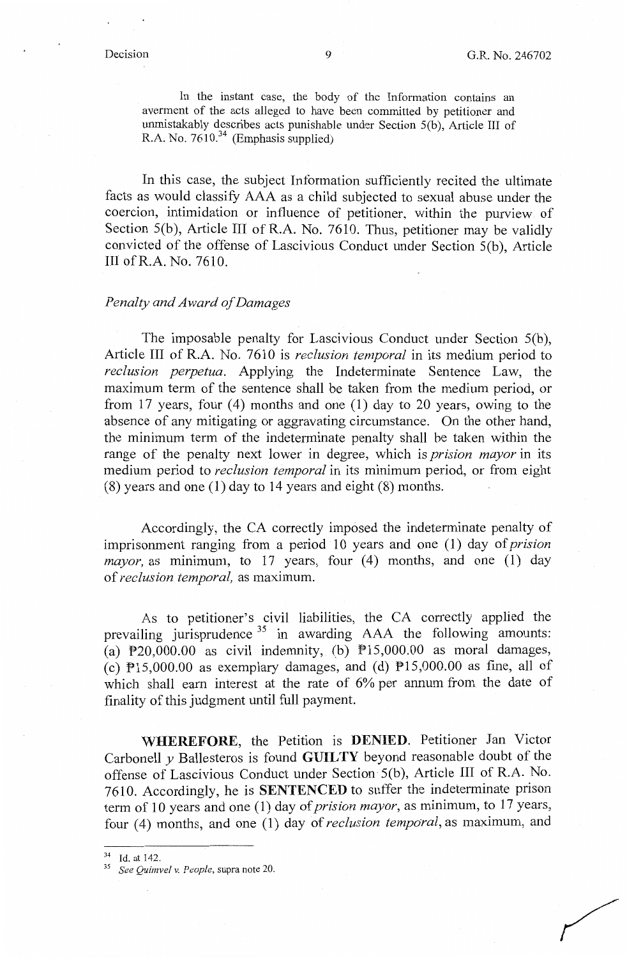In the instant case, the body of the Information contains an averment of the acts alleged to have been committed by petitioner and unmistakably describes acts punishable under Section  $5(b)$ . Article III of R.A. No.  $7610^{34}$  (Emphasis supplied)

In this case, the subject Information sufficiently recited the ultimate facts as would classify AAA as a child subjected to sexual abuse under the coercion, intimidation or influence of petitioner, within the purview of Section  $5(b)$ , Article III of R.A. No. 7610. Thus, petitioner may be validly convicted of the offense of Lascivious Conduct under Section  $\frac{5}{6}$ ). Article III ofR.A. No. 7610.

# *Penalty and Award of Damages*

The imposable penalty for Lascivious Conduct under Section 5(b). Article III of R.A. No. 7610 is *reclusion temporal* in its medium period to *reclusion perpetua.* Applying the Indeterminate Sentence Law, the maximum term of the sentence shall be taken from the medium period, or from 17 years, four  $(4)$  months and one  $(1)$  day to 20 years, owing to the absence of any mitigating or aggravating circumstance. On the other hand, the minimum term of the indeterminate penalty shall be taken within the range of the penalty next lower in degree, which is *prision mayor* in its medium period to *reclusion temporal* in its minimum period, or from eight (8) years and one (1) day to 14 years and eight (8) months.

Accordingly, the CA correctly imposed the indeterminate penalty of imprisonment ranging from a period 10 years and one **(1)** day of *prision*   $mayor$ , as minimum, to 17 years, four  $(4)$  months, and one  $(1)$  day of *reclusion temporal,* as maximum.

As to petitioner's civil liabilities, the CA correctly applied the prevailing jurisprudence  $35$  in awarding AAA the following amounts: (a)  $P20,000.00$  as civil indemnity, (b)  $P15,000.00$  as moral damages, (c)  $P15,000.00$  as exemplary damages, and (d)  $P15,000.00$  as fine, all of which shall earn interest at the rate of 6% per annum from the date of finality of this judgment until full payment.

**WHEREFORE,** the Petition is **DENIED.** Petitioner Jan Victor Carbonell *y* Ballesteros is found **GUILTY** beyond reasonable doubt of the offense of Lascivious Conduct under Section· 5(b ), Article III of R.A. No. 7610. Accordingly, he is **SENTENCED** to suffer the indeterminate prison term of 10 years and one (1) day of *prision mayor*, as minimum, to 17 years, four (4) months, and one (1) day of *reclusion temporal*, as maximum, and

<sup>34</sup> Id. at 142. 35 *See Quimve! v. People,* supra note 20.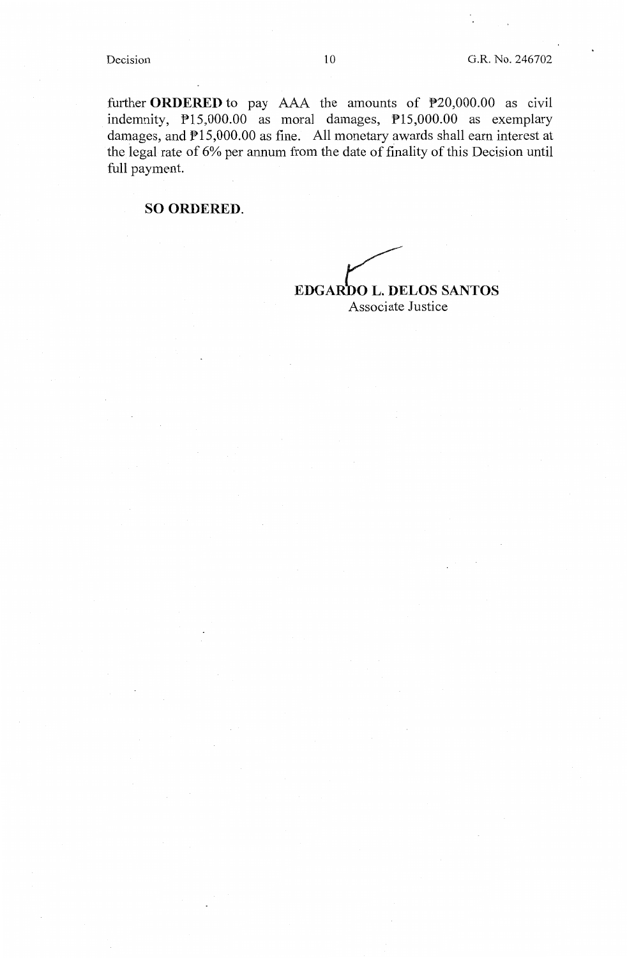further **ORDERED** to pay AAA the amounts of P20,000.00 as civil indemnity, P15,000.00 as moral damages, P15,000.00 as exemplary damages, and P15,000.00 as fine. All monetary awards shall earn interest at the legal rate of 6% per annum from the date of finality of this Decision until full payment.

# **SO ORDERED.**

**EDGARDO L. DELOS SANTOS** Associate Justice